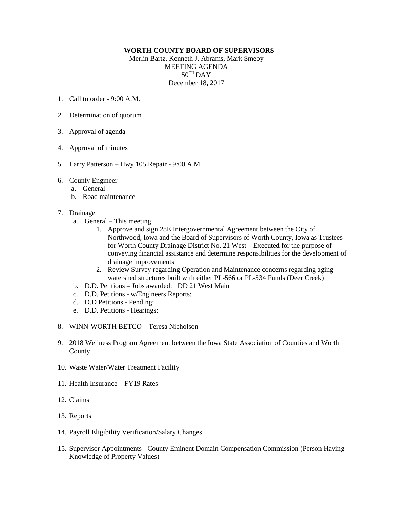## **WORTH COUNTY BOARD OF SUPERVISORS**

Merlin Bartz, Kenneth J. Abrams, Mark Smeby MEETING AGENDA  $50^{\text{TH}}$ DAY December 18, 2017

- 1. Call to order  $9.00 \text{ A M}$
- 2. Determination of quorum
- 3. Approval of agenda
- 4. Approval of minutes
- 5. Larry Patterson Hwy 105 Repair 9:00 A.M.
- 6. County Engineer
	- a. General
	- b. Road maintenance
- 7. Drainage
	- a. General This meeting
		- 1. Approve and sign 28E Intergovernmental Agreement between the City of Northwood, Iowa and the Board of Supervisors of Worth County, Iowa as Trustees for Worth County Drainage District No. 21 West – Executed for the purpose of conveying financial assistance and determine responsibilities for the development of drainage improvements
		- 2. Review Survey regarding Operation and Maintenance concerns regarding aging watershed structures built with either PL-566 or PL-534 Funds (Deer Creek)
	- b. D.D. Petitions Jobs awarded: DD 21 West Main
	- c. D.D. Petitions w/Engineers Reports:
	- d. D.D Petitions Pending:
	- e. D.D. Petitions Hearings:
- 8. WINN-WORTH BETCO Teresa Nicholson
- 9. 2018 Wellness Program Agreement between the Iowa State Association of Counties and Worth County
- 10. Waste Water/Water Treatment Facility
- 11. Health Insurance FY19 Rates
- 12. Claims
- 13. Reports
- 14. Payroll Eligibility Verification/Salary Changes
- 15. Supervisor Appointments County Eminent Domain Compensation Commission (Person Having Knowledge of Property Values)